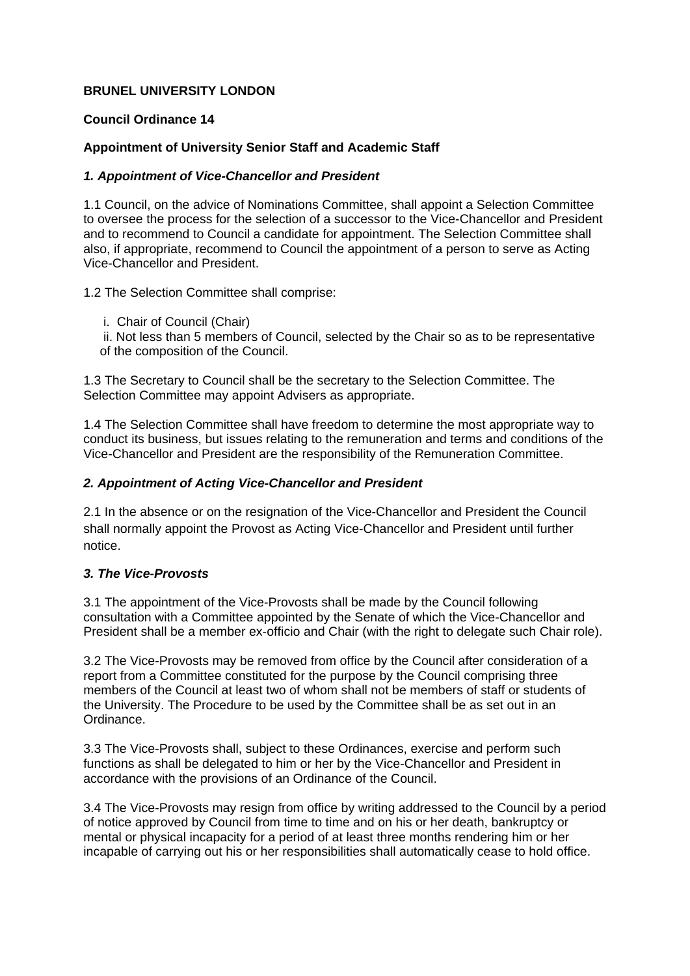# **BRUNEL UNIVERSITY LONDON**

## **Council Ordinance 14**

# **Appointment of University Senior Staff and Academic Staff**

#### *1. Appointment of Vice-Chancellor and President*

1.1 Council, on the advice of Nominations Committee, shall appoint a Selection Committee to oversee the process for the selection of a successor to the Vice-Chancellor and President and to recommend to Council a candidate for appointment. The Selection Committee shall also, if appropriate, recommend to Council the appointment of a person to serve as Acting Vice-Chancellor and President.

1.2 The Selection Committee shall comprise:

i. Chair of Council (Chair)

 ii. Not less than 5 members of Council, selected by the Chair so as to be representative of the composition of the Council.

1.3 The Secretary to Council shall be the secretary to the Selection Committee. The Selection Committee may appoint Advisers as appropriate.

1.4 The Selection Committee shall have freedom to determine the most appropriate way to conduct its business, but issues relating to the remuneration and terms and conditions of the Vice-Chancellor and President are the responsibility of the Remuneration Committee.

### *2. Appointment of Acting Vice-Chancellor and President*

2.1 In the absence or on the resignation of the Vice-Chancellor and President the Council shall normally appoint the Provost as Acting Vice-Chancellor and President until further notice.

# *3. The Vice-Provosts*

3.1 The appointment of the Vice-Provosts shall be made by the Council following consultation with a Committee appointed by the Senate of which the Vice-Chancellor and President shall be a member ex-officio and Chair (with the right to delegate such Chair role).

3.2 The Vice-Provosts may be removed from office by the Council after consideration of a report from a Committee constituted for the purpose by the Council comprising three members of the Council at least two of whom shall not be members of staff or students of the University. The Procedure to be used by the Committee shall be as set out in an Ordinance.

3.3 The Vice-Provosts shall, subject to these Ordinances, exercise and perform such functions as shall be delegated to him or her by the Vice-Chancellor and President in accordance with the provisions of an Ordinance of the Council.

3.4 The Vice-Provosts may resign from office by writing addressed to the Council by a period of notice approved by Council from time to time and on his or her death, bankruptcy or mental or physical incapacity for a period of at least three months rendering him or her incapable of carrying out his or her responsibilities shall automatically cease to hold office.